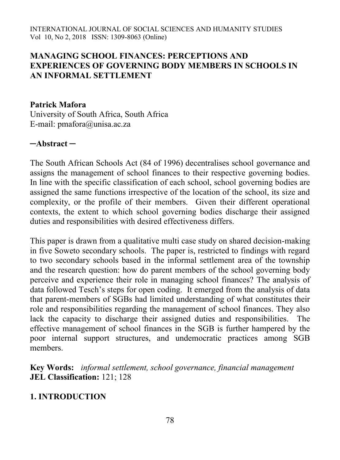## **MANAGING SCHOOL FINANCES: PERCEPTIONS AND EXPERIENCES OF GOVERNING BODY MEMBERS IN SCHOOLS IN AN INFORMAL SETTLEMENT**

#### **Patrick Mafora**

University of South Africa, South Africa E-mail: pmafora@unisa.ac.za

### **─Abstract ─**

The South African Schools Act (84 of 1996) decentralises school governance and assigns the management of school finances to their respective governing bodies. In line with the specific classification of each school, school governing bodies are assigned the same functions irrespective of the location of the school, its size and complexity, or the profile of their members. Given their different operational contexts, the extent to which school governing bodies discharge their assigned duties and responsibilities with desired effectiveness differs.

This paper is drawn from a qualitative multi case study on shared decision-making in five Soweto secondary schools. The paper is, restricted to findings with regard to two secondary schools based in the informal settlement area of the township and the research question: how do parent members of the school governing body perceive and experience their role in managing school finances? The analysis of data followed Tesch's steps for open coding. It emerged from the analysis of data that parent-members of SGBs had limited understanding of what constitutes their role and responsibilities regarding the management of school finances. They also lack the capacity to discharge their assigned duties and responsibilities. The effective management of school finances in the SGB is further hampered by the poor internal support structures, and undemocratic practices among SGB members.

**Key Words:** *informal settlement, school governance, financial management* **JEL Classification:** 121; 128

### **1. INTRODUCTION**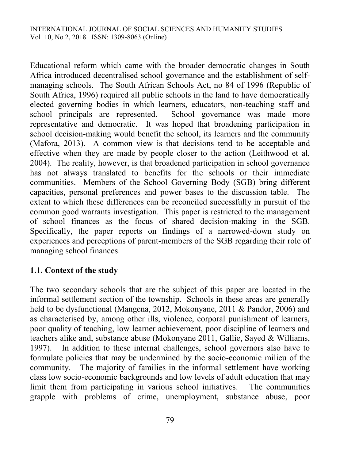Educational reform which came with the broader democratic changes in South Africa introduced decentralised school governance and the establishment of selfmanaging schools. The South African Schools Act, no 84 of 1996 (Republic of South Africa, 1996) required all public schools in the land to have democratically elected governing bodies in which learners, educators, non-teaching staff and school principals are represented. School governance was made more representative and democratic. It was hoped that broadening participation in school decision-making would benefit the school, its learners and the community (Mafora, 2013). A common view is that decisions tend to be acceptable and effective when they are made by people closer to the action (Leithwood et al, 2004). The reality, however, is that broadened participation in school governance has not always translated to benefits for the schools or their immediate communities. Members of the School Governing Body (SGB) bring different capacities, personal preferences and power bases to the discussion table. The extent to which these differences can be reconciled successfully in pursuit of the common good warrants investigation. This paper is restricted to the management of school finances as the focus of shared decision-making in the SGB. Specifically, the paper reports on findings of a narrowed-down study on experiences and perceptions of parent-members of the SGB regarding their role of managing school finances.

## **1.1. Context of the study**

The two secondary schools that are the subject of this paper are located in the informal settlement section of the township. Schools in these areas are generally held to be dysfunctional (Mangena, 2012, Mokonyane, 2011 & Pandor, 2006) and as characterised by, among other ills, violence, corporal punishment of learners, poor quality of teaching, low learner achievement, poor discipline of learners and teachers alike and, substance abuse (Mokonyane 2011, Gallie, Sayed & Williams, 1997). In addition to these internal challenges, school governors also have to formulate policies that may be undermined by the socio-economic milieu of the community. The majority of families in the informal settlement have working class low socio-economic backgrounds and low levels of adult education that may limit them from participating in various school initiatives. The communities grapple with problems of crime, unemployment, substance abuse, poor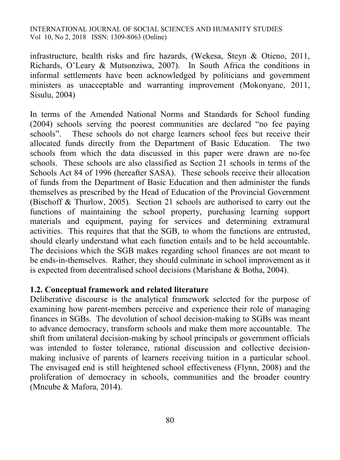infrastructure, health risks and fire hazards, (Wekesa, Steyn & Otieno, 2011, Richards, O'Leary & Mutsonziwa, 2007). In South Africa the conditions in informal settlements have been acknowledged by politicians and government ministers as unacceptable and warranting improvement (Mokonyane, 2011, Sisulu, 2004)

In terms of the Amended National Norms and Standards for School funding (2004) schools serving the poorest communities are declared "no fee paying schools". These schools do not charge learners school fees but receive their allocated funds directly from the Department of Basic Education. The two schools from which the data discussed in this paper were drawn are no-fee schools. These schools are also classified as Section 21 schools in terms of the Schools Act 84 of 1996 (hereafter SASA). These schools receive their allocation of funds from the Department of Basic Education and then administer the funds themselves as prescribed by the Head of Education of the Provincial Government (Bischoff & Thurlow, 2005). Section 21 schools are authorised to carry out the functions of maintaining the school property, purchasing learning support materials and equipment, paying for services and determining extramural activities. This requires that that the SGB, to whom the functions are entrusted, should clearly understand what each function entails and to be held accountable. The decisions which the SGB makes regarding school finances are not meant to be ends-in-themselves. Rather, they should culminate in school improvement as it is expected from decentralised school decisions (Marishane & Botha, 2004).

#### **1.2. Conceptual framework and related literature**

Deliberative discourse is the analytical framework selected for the purpose of examining how parent-members perceive and experience their role of managing finances in SGBs. The devolution of school decision-making to SGBs was meant to advance democracy, transform schools and make them more accountable. The shift from unilateral decision-making by school principals or government officials was intended to foster tolerance, rational discussion and collective decisionmaking inclusive of parents of learners receiving tuition in a particular school. The envisaged end is still heightened school effectiveness (Flynn, 2008) and the proliferation of democracy in schools, communities and the broader country (Mncube & Mafora, 2014).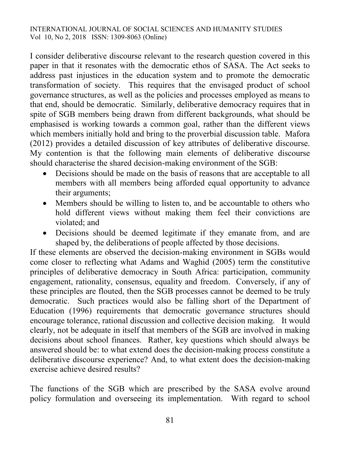I consider deliberative discourse relevant to the research question covered in this paper in that it resonates with the democratic ethos of SASA. The Act seeks to address past injustices in the education system and to promote the democratic transformation of society. This requires that the envisaged product of school governance structures, as well as the policies and processes employed as means to that end, should be democratic. Similarly, deliberative democracy requires that in spite of SGB members being drawn from different backgrounds, what should be emphasised is working towards a common goal, rather than the different views which members initially hold and bring to the proverbial discussion table. Mafora (2012) provides a detailed discussion of key attributes of deliberative discourse. My contention is that the following main elements of deliberative discourse should characterise the shared decision-making environment of the SGB:

- Decisions should be made on the basis of reasons that are acceptable to all members with all members being afforded equal opportunity to advance their arguments;
- Members should be willing to listen to, and be accountable to others who hold different views without making them feel their convictions are violated; and
- Decisions should be deemed legitimate if they emanate from, and are shaped by, the deliberations of people affected by those decisions.

If these elements are observed the decision-making environment in SGBs would come closer to reflecting what Adams and Waghid (2005) term the constitutive principles of deliberative democracy in South Africa: participation, community engagement, rationality, consensus, equality and freedom. Conversely, if any of these principles are flouted, then the SGB processes cannot be deemed to be truly democratic. Such practices would also be falling short of the Department of Education (1996) requirements that democratic governance structures should encourage tolerance, rational discussion and collective decision making. It would clearly, not be adequate in itself that members of the SGB are involved in making decisions about school finances. Rather, key questions which should always be answered should be: to what extend does the decision-making process constitute a deliberative discourse experience? And, to what extent does the decision-making exercise achieve desired results?

The functions of the SGB which are prescribed by the SASA evolve around policy formulation and overseeing its implementation. With regard to school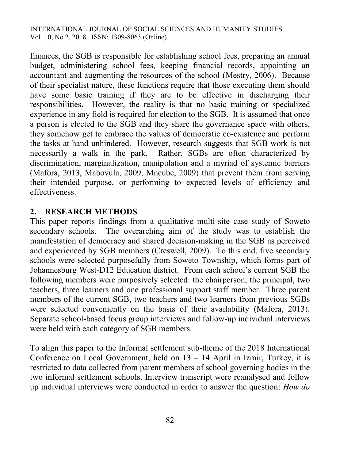finances, the SGB is responsible for establishing school fees, preparing an annual budget, administering school fees, keeping financial records, appointing an accountant and augmenting the resources of the school (Mestry, 2006). Because of their specialist nature, these functions require that those executing them should have some basic training if they are to be effective in discharging their responsibilities. However, the reality is that no basic training or specialized experience in any field is required for election to the SGB. It is assumed that once a person is elected to the SGB and they share the governance space with others, they somehow get to embrace the values of democratic co-existence and perform the tasks at hand unhindered. However, research suggests that SGB work is not necessarily a walk in the park. Rather, SGBs are often characterized by discrimination, marginalization, manipulation and a myriad of systemic barriers (Mafora, 2013, Mabovula, 2009, Mncube, 2009) that prevent them from serving their intended purpose, or performing to expected levels of efficiency and effectiveness.

### **2. RESEARCH METHODS**

This paper reports findings from a qualitative multi-site case study of Soweto secondary schools. The overarching aim of the study was to establish the manifestation of democracy and shared decision-making in the SGB as perceived and experienced by SGB members (Creswell, 2009). To this end, five secondary schools were selected purposefully from Soweto Township, which forms part of Johannesburg West-D12 Education district. From each school's current SGB the following members were purposively selected: the chairperson, the principal, two teachers, three learners and one professional support staff member. Three parent members of the current SGB, two teachers and two learners from previous SGBs were selected conveniently on the basis of their availability (Mafora, 2013). Separate school-based focus group interviews and follow-up individual interviews were held with each category of SGB members.

To align this paper to the Informal settlement sub-theme of the 2018 International Conference on Local Government, held on 13 – 14 April in Izmir, Turkey, it is restricted to data collected from parent members of school governing bodies in the two informal settlement schools. Interview transcript were reanalysed and follow up individual interviews were conducted in order to answer the question: *How do*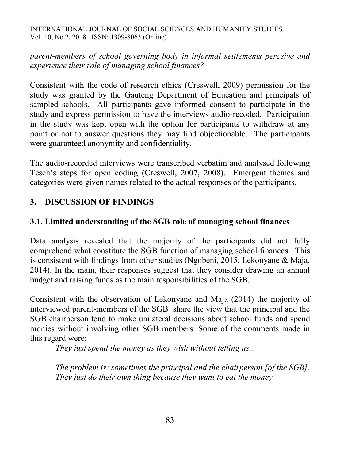*parent-members of school governing body in informal settlements perceive and experience their role of managing school finances?*

Consistent with the code of research ethics (Creswell, 2009) permission for the study was granted by the Gauteng Department of Education and principals of sampled schools. All participants gave informed consent to participate in the study and express permission to have the interviews audio-recoded. Participation in the study was kept open with the option for participants to withdraw at any point or not to answer questions they may find objectionable. The participants were guaranteed anonymity and confidentiality.

The audio-recorded interviews were transcribed verbatim and analysed following Tesch's steps for open coding (Creswell, 2007, 2008). Emergent themes and categories were given names related to the actual responses of the participants.

## **3. DISCUSSION OF FINDINGS**

## **3.1. Limited understanding of the SGB role of managing school finances**

Data analysis revealed that the majority of the participants did not fully comprehend what constitute the SGB function of managing school finances. This is consistent with findings from other studies (Ngobeni, 2015, Lekonyane & Maja, 2014). In the main, their responses suggest that they consider drawing an annual budget and raising funds as the main responsibilities of the SGB.

Consistent with the observation of Lekonyane and Maja (2014) the majority of interviewed parent-members of the SGB share the view that the principal and the SGB chairperson tend to make unilateral decisions about school funds and spend monies without involving other SGB members. Some of the comments made in this regard were:

*They just spend the money as they wish without telling us...*

*The problem is: sometimes the principal and the chairperson [of the SGB]. They just do their own thing because they want to eat the money*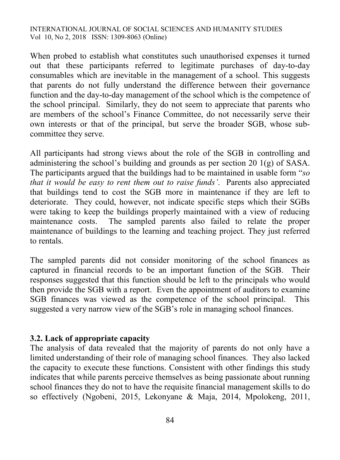When probed to establish what constitutes such unauthorised expenses it turned out that these participants referred to legitimate purchases of day-to-day consumables which are inevitable in the management of a school. This suggests that parents do not fully understand the difference between their governance function and the day-to-day management of the school which is the competence of the school principal. Similarly, they do not seem to appreciate that parents who are members of the school's Finance Committee, do not necessarily serve their own interests or that of the principal, but serve the broader SGB, whose subcommittee they serve.

All participants had strong views about the role of the SGB in controlling and administering the school's building and grounds as per section 20 1(g) of SASA. The participants argued that the buildings had to be maintained in usable form "*so that it would be easy to rent them out to raise funds'*. Parents also appreciated that buildings tend to cost the SGB more in maintenance if they are left to deteriorate. They could, however, not indicate specific steps which their SGBs were taking to keep the buildings properly maintained with a view of reducing maintenance costs. The sampled parents also failed to relate the proper maintenance of buildings to the learning and teaching project. They just referred to rentals.

The sampled parents did not consider monitoring of the school finances as captured in financial records to be an important function of the SGB. Their responses suggested that this function should be left to the principals who would then provide the SGB with a report. Even the appointment of auditors to examine SGB finances was viewed as the competence of the school principal. This suggested a very narrow view of the SGB's role in managing school finances.

### **3.2. Lack of appropriate capacity**

The analysis of data revealed that the majority of parents do not only have a limited understanding of their role of managing school finances. They also lacked the capacity to execute these functions. Consistent with other findings this study indicates that while parents perceive themselves as being passionate about running school finances they do not to have the requisite financial management skills to do so effectively (Ngobeni, 2015, Lekonyane & Maja, 2014, Mpolokeng, 2011,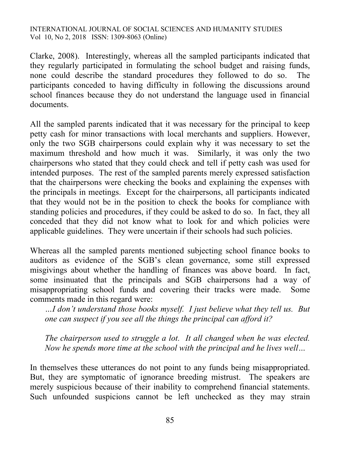Clarke, 2008). Interestingly, whereas all the sampled participants indicated that they regularly participated in formulating the school budget and raising funds, none could describe the standard procedures they followed to do so. The participants conceded to having difficulty in following the discussions around school finances because they do not understand the language used in financial documents.

All the sampled parents indicated that it was necessary for the principal to keep petty cash for minor transactions with local merchants and suppliers. However, only the two SGB chairpersons could explain why it was necessary to set the maximum threshold and how much it was. Similarly, it was only the two chairpersons who stated that they could check and tell if petty cash was used for intended purposes. The rest of the sampled parents merely expressed satisfaction that the chairpersons were checking the books and explaining the expenses with the principals in meetings. Except for the chairpersons, all participants indicated that they would not be in the position to check the books for compliance with standing policies and procedures, if they could be asked to do so. In fact, they all conceded that they did not know what to look for and which policies were applicable guidelines. They were uncertain if their schools had such policies.

Whereas all the sampled parents mentioned subjecting school finance books to auditors as evidence of the SGB's clean governance, some still expressed misgivings about whether the handling of finances was above board. In fact, some insinuated that the principals and SGB chairpersons had a way of misappropriating school funds and covering their tracks were made. Some comments made in this regard were:

*…I don't understand those books myself. I just believe what they tell us. But one can suspect if you see all the things the principal can afford it?*

*The chairperson used to struggle a lot. It all changed when he was elected. Now he spends more time at the school with the principal and he lives well…*

In themselves these utterances do not point to any funds being misappropriated. But, they are symptomatic of ignorance breeding mistrust. The speakers are merely suspicious because of their inability to comprehend financial statements. Such unfounded suspicions cannot be left unchecked as they may strain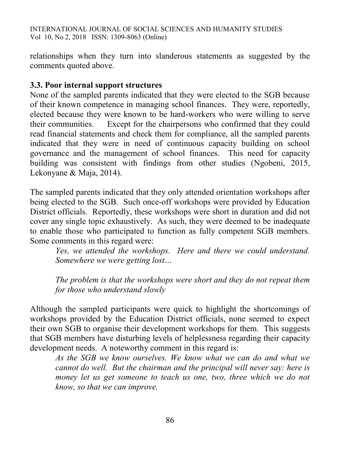relationships when they turn into slanderous statements as suggested by the comments quoted above.

### **3.3. Poor internal support structures**

None of the sampled parents indicated that they were elected to the SGB because of their known competence in managing school finances. They were, reportedly, elected because they were known to be hard-workers who were willing to serve their communities. Except for the chairpersons who confirmed that they could read financial statements and check them for compliance, all the sampled parents indicated that they were in need of continuous capacity building on school governance and the management of school finances. This need for capacity building was consistent with findings from other studies (Ngobeni, 2015, Lekonyane & Maja, 2014).

The sampled parents indicated that they only attended orientation workshops after being elected to the SGB. Such once-off workshops were provided by Education District officials. Reportedly, these workshops were short in duration and did not cover any single topic exhaustively. As such, they were deemed to be inadequate to enable those who participated to function as fully competent SGB members. Some comments in this regard were:

*Yes, we attended the workshops. Here and there we could understand. Somewhere we were getting lost…*

*The problem is that the workshops were short and they do not repeat them for those who understand slowly*

Although the sampled participants were quick to highlight the shortcomings of workshops provided by the Education District officials, none seemed to expect their own SGB to organise their development workshops for them. This suggests that SGB members have disturbing levels of helplessness regarding their capacity development needs. A noteworthy comment in this regard is:

*As the SGB we know ourselves. We know what we can do and what we cannot do well. But the chairman and the principal will never say: here is money let us get someone to teach us one, two, three which we do not know, so that we can improve.*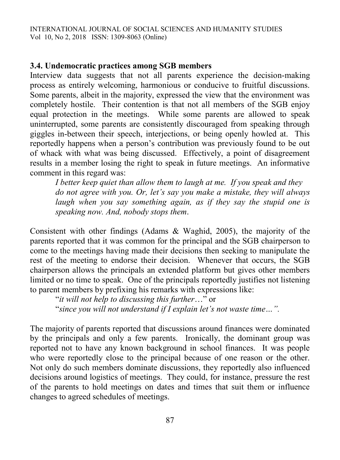## **3.4. Undemocratic practices among SGB members**

Interview data suggests that not all parents experience the decision-making process as entirely welcoming, harmonious or conducive to fruitful discussions. Some parents, albeit in the majority, expressed the view that the environment was completely hostile. Their contention is that not all members of the SGB enjoy equal protection in the meetings. While some parents are allowed to speak uninterrupted, some parents are consistently discouraged from speaking through giggles in-between their speech, interjections, or being openly howled at. This reportedly happens when a person's contribution was previously found to be out of whack with what was being discussed. Effectively, a point of disagreement results in a member losing the right to speak in future meetings. An informative comment in this regard was:

*I better keep quiet than allow them to laugh at me. If you speak and they do not agree with you. Or, let's say you make a mistake, they will always laugh when you say something again, as if they say the stupid one is speaking now. And, nobody stops them*.

Consistent with other findings (Adams & Waghid, 2005), the majority of the parents reported that it was common for the principal and the SGB chairperson to come to the meetings having made their decisions then seeking to manipulate the rest of the meeting to endorse their decision. Whenever that occurs, the SGB chairperson allows the principals an extended platform but gives other members limited or no time to speak. One of the principals reportedly justifies not listening to parent members by prefixing his remarks with expressions like:

"*it will not help to discussing this further*…" or "*since you will not understand if I explain let's not waste time…".* 

The majority of parents reported that discussions around finances were dominated by the principals and only a few parents. Ironically, the dominant group was reported not to have any known background in school finances. It was people who were reportedly close to the principal because of one reason or the other. Not only do such members dominate discussions, they reportedly also influenced decisions around logistics of meetings. They could, for instance, pressure the rest of the parents to hold meetings on dates and times that suit them or influence changes to agreed schedules of meetings.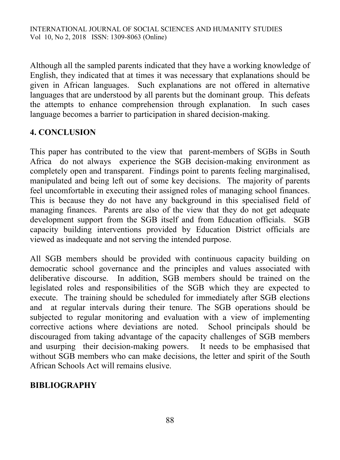Although all the sampled parents indicated that they have a working knowledge of English, they indicated that at times it was necessary that explanations should be given in African languages. Such explanations are not offered in alternative languages that are understood by all parents but the dominant group. This defeats the attempts to enhance comprehension through explanation. In such cases language becomes a barrier to participation in shared decision-making.

# **4. CONCLUSION**

This paper has contributed to the view that parent-members of SGBs in South Africa do not always experience the SGB decision-making environment as completely open and transparent. Findings point to parents feeling marginalised, manipulated and being left out of some key decisions. The majority of parents feel uncomfortable in executing their assigned roles of managing school finances. This is because they do not have any background in this specialised field of managing finances. Parents are also of the view that they do not get adequate development support from the SGB itself and from Education officials. SGB capacity building interventions provided by Education District officials are viewed as inadequate and not serving the intended purpose.

All SGB members should be provided with continuous capacity building on democratic school governance and the principles and values associated with deliberative discourse. In addition, SGB members should be trained on the legislated roles and responsibilities of the SGB which they are expected to execute. The training should be scheduled for immediately after SGB elections and at regular intervals during their tenure. The SGB operations should be subjected to regular monitoring and evaluation with a view of implementing corrective actions where deviations are noted. School principals should be discouraged from taking advantage of the capacity challenges of SGB members and usurping their decision-making powers. It needs to be emphasised that without SGB members who can make decisions, the letter and spirit of the South African Schools Act will remains elusive.

## **BIBLIOGRAPHY**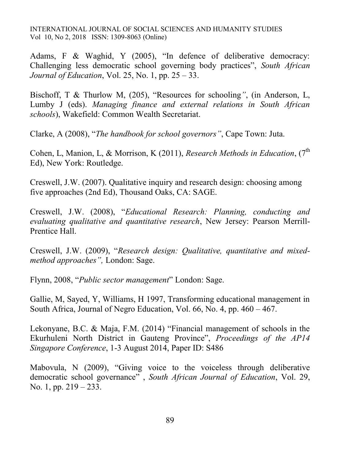Adams, F & Waghid, Y (2005), "In defence of deliberative democracy: Challenging less democratic school governing body practices", *South African Journal of Education*, Vol. 25, No. 1, pp. 25 – 33.

Bischoff, T & Thurlow M, (205), "Resources for schooling*"*, (in Anderson, L, Lumby J (eds). *Managing finance and external relations in South African schools*), Wakefield: Common Wealth Secretariat.

Clarke, A (2008), "*The handbook for school governors"*, Cape Town: Juta.

Cohen, L, Manion, L, & Morrison, K (2011), *Research Methods in Education*,  $(7<sup>th</sup>)$ Ed), New York: Routledge.

Creswell, J.W. (2007). Qualitative inquiry and research design: choosing among five approaches (2nd Ed), Thousand Oaks, CA: SAGE.

Creswell, J.W. (2008), "*Educational Research: Planning, conducting and evaluating qualitative and quantitative research*, New Jersey: Pearson Merrill-Prentice Hall.

Creswell, J.W. (2009), "*Research design: Qualitative, quantitative and mixedmethod approaches",* London: Sage.

Flynn, 2008, "*Public sector management*" London: Sage.

Gallie, M, Sayed, Y, Williams, H 1997, Transforming educational management in South Africa, Journal of Negro Education, Vol. 66, No. 4, pp. 460 – 467.

Lekonyane, B.C. & Maja, F.M. (2014) "Financial management of schools in the Ekurhuleni North District in Gauteng Province", *Proceedings of the AP14 Singapore Conference*, 1-3 August 2014, Paper ID: S486

Mabovula, N (2009), "Giving voice to the voiceless through deliberative democratic school governance" , *South African Journal of Education*, Vol. 29, No. 1, pp. 219 – 233.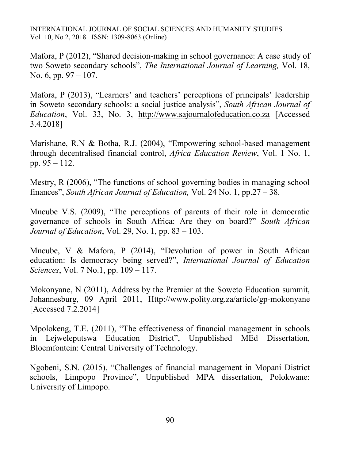Mafora, P (2012), "Shared decision-making in school governance: A case study of two Soweto secondary schools", *The International Journal of Learning,* Vol. 18, No. 6, pp. 97 – 107.

Mafora, P (2013), "Learners' and teachers' perceptions of principals' leadership in Soweto secondary schools: a social justice analysis", *South African Journal of Education*, Vol. 33, No. 3, [http://www.sajournalofeducation.co.za](http://www.sajournalofeducation.co.za/) [Accessed 3.4.2018]

Marishane, R.N & Botha, R.J. (2004), "Empowering school-based management through decentralised financial control, *Africa Education Review*, Vol. 1 No. 1, pp. 95 – 112.

Mestry, R (2006), "The functions of school governing bodies in managing school finances", *South African Journal of Education,* Vol. 24 No. 1, pp.27 – 38.

Mncube V.S. (2009), "The perceptions of parents of their role in democratic governance of schools in South Africa: Are they on board?" *South African Journal of Education*, Vol. 29, No. 1, pp. 83 – 103.

Mncube, V & Mafora, P (2014), "Devolution of power in South African education: Is democracy being served?", *International Journal of Education Sciences*, Vol. 7 No.1, pp. 109 – 117.

Mokonyane, N (2011), Address by the Premier at the Soweto Education summit, Johannesburg, 09 April 2011, [Http://www.polity.org.za/article/gp-mokonyane](http://www.polity.org.za/article/gp-mokonyane) [Accessed 7.2.2014]

Mpolokeng, T.E. (2011), "The effectiveness of financial management in schools in Lejweleputswa Education District", Unpublished MEd Dissertation, Bloemfontein: Central University of Technology.

Ngobeni, S.N. (2015), "Challenges of financial management in Mopani District schools, Limpopo Province", Unpublished MPA dissertation, Polokwane: University of Limpopo.